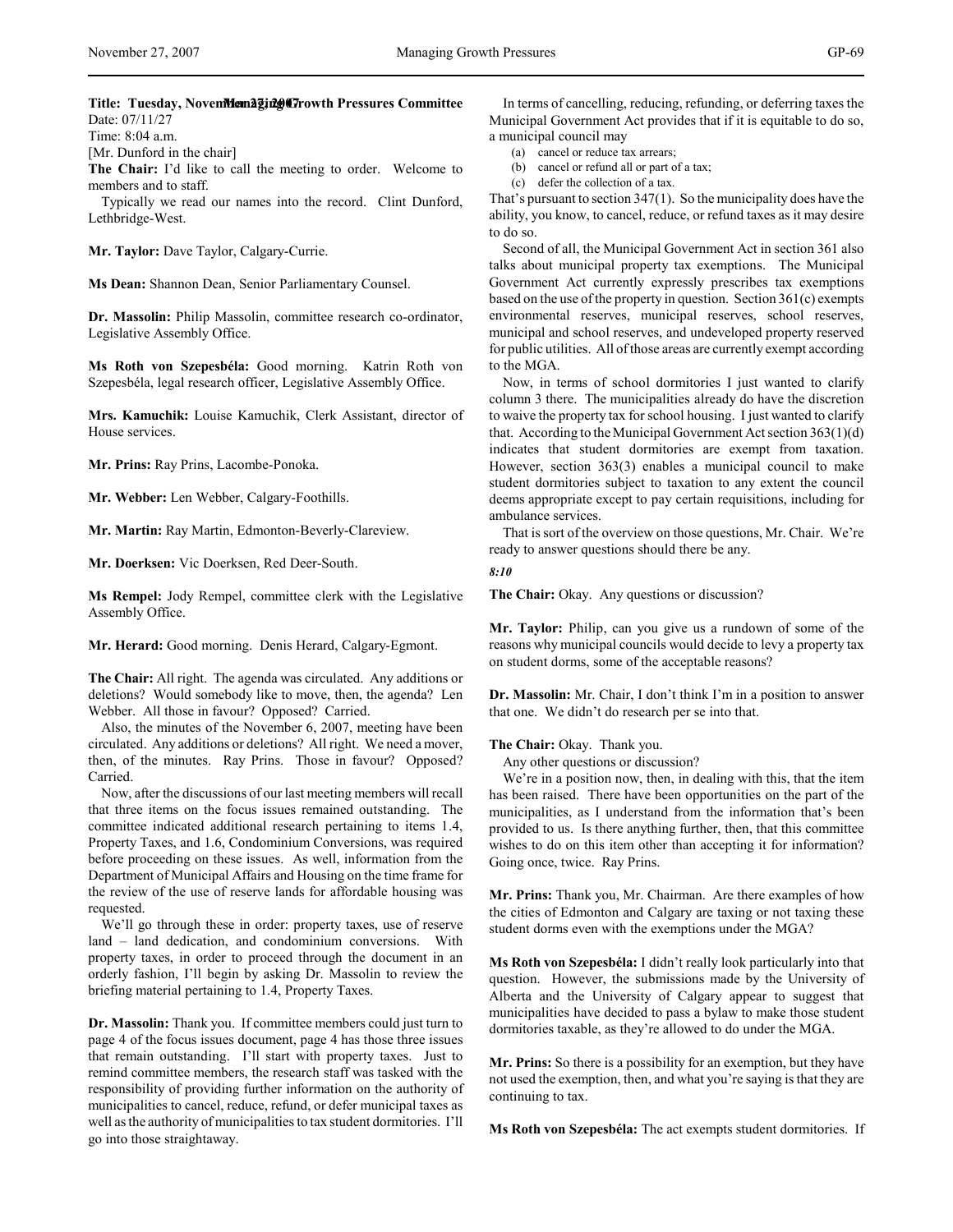Title: Tuesday, NovemMem2ging Crowth Pressures Committee Date: 07/11/27

Time: 8:04 a.m.

[Mr. Dunford in the chair]

**The Chair:** I'd like to call the meeting to order. Welcome to members and to staff.

Typically we read our names into the record. Clint Dunford, Lethbridge-West.

**Mr. Taylor:** Dave Taylor, Calgary-Currie.

**Ms Dean:** Shannon Dean, Senior Parliamentary Counsel.

**Dr. Massolin:** Philip Massolin, committee research co-ordinator, Legislative Assembly Office.

**Ms Roth von Szepesbéla:** Good morning. Katrin Roth von Szepesbéla, legal research officer, Legislative Assembly Office.

**Mrs. Kamuchik:** Louise Kamuchik, Clerk Assistant, director of House services.

**Mr. Prins:** Ray Prins, Lacombe-Ponoka.

**Mr. Webber:** Len Webber, Calgary-Foothills.

**Mr. Martin:** Ray Martin, Edmonton-Beverly-Clareview.

**Mr. Doerksen:** Vic Doerksen, Red Deer-South.

**Ms Rempel:** Jody Rempel, committee clerk with the Legislative Assembly Office.

**Mr. Herard:** Good morning. Denis Herard, Calgary-Egmont.

**The Chair:** All right. The agenda was circulated. Any additions or deletions? Would somebody like to move, then, the agenda? Len Webber. All those in favour? Opposed? Carried.

Also, the minutes of the November 6, 2007, meeting have been circulated. Any additions or deletions? All right. We need a mover, then, of the minutes. Ray Prins. Those in favour? Opposed? Carried.

Now, after the discussions of our last meeting members will recall that three items on the focus issues remained outstanding. The committee indicated additional research pertaining to items 1.4, Property Taxes, and 1.6, Condominium Conversions, was required before proceeding on these issues. As well, information from the Department of Municipal Affairs and Housing on the time frame for the review of the use of reserve lands for affordable housing was requested.

We'll go through these in order: property taxes, use of reserve land – land dedication, and condominium conversions. With property taxes, in order to proceed through the document in an orderly fashion, I'll begin by asking Dr. Massolin to review the briefing material pertaining to 1.4, Property Taxes.

**Dr. Massolin:** Thank you. If committee members could just turn to page 4 of the focus issues document, page 4 has those three issues that remain outstanding. I'll start with property taxes. Just to remind committee members, the research staff was tasked with the responsibility of providing further information on the authority of municipalities to cancel, reduce, refund, or defer municipal taxes as well as the authority of municipalities to tax student dormitories. I'll go into those straightaway.

In terms of cancelling, reducing, refunding, or deferring taxes the Municipal Government Act provides that if it is equitable to do so, a municipal council may

(a) cancel or reduce tax arrears;

(b) cancel or refund all or part of a tax;

(c) defer the collection of a tax.

That's pursuant to section 347(1). So the municipality does have the ability, you know, to cancel, reduce, or refund taxes as it may desire to do so.

Second of all, the Municipal Government Act in section 361 also talks about municipal property tax exemptions. The Municipal Government Act currently expressly prescribes tax exemptions based on the use of the property in question. Section 361(c) exempts environmental reserves, municipal reserves, school reserves, municipal and school reserves, and undeveloped property reserved for public utilities. All of those areas are currently exempt according to the MGA.

Now, in terms of school dormitories I just wanted to clarify column 3 there. The municipalities already do have the discretion to waive the property tax for school housing. I just wanted to clarify that. According to the Municipal Government Act section 363(1)(d) indicates that student dormitories are exempt from taxation. However, section 363(3) enables a municipal council to make student dormitories subject to taxation to any extent the council deems appropriate except to pay certain requisitions, including for ambulance services.

That is sort of the overview on those questions, Mr. Chair. We're ready to answer questions should there be any.

*8:10*

**The Chair:** Okay. Any questions or discussion?

**Mr. Taylor:** Philip, can you give us a rundown of some of the reasons why municipal councils would decide to levy a property tax on student dorms, some of the acceptable reasons?

**Dr. Massolin:** Mr. Chair, I don't think I'm in a position to answer that one. We didn't do research per se into that.

**The Chair:** Okay. Thank you.

Any other questions or discussion?

We're in a position now, then, in dealing with this, that the item has been raised. There have been opportunities on the part of the municipalities, as I understand from the information that's been provided to us. Is there anything further, then, that this committee wishes to do on this item other than accepting it for information? Going once, twice. Ray Prins.

**Mr. Prins:** Thank you, Mr. Chairman. Are there examples of how the cities of Edmonton and Calgary are taxing or not taxing these student dorms even with the exemptions under the MGA?

**Ms Roth von Szepesbéla:** I didn't really look particularly into that question. However, the submissions made by the University of Alberta and the University of Calgary appear to suggest that municipalities have decided to pass a bylaw to make those student dormitories taxable, as they're allowed to do under the MGA.

**Mr. Prins:** So there is a possibility for an exemption, but they have not used the exemption, then, and what you're saying is that they are continuing to tax.

**Ms Roth von Szepesbéla:** The act exempts student dormitories. If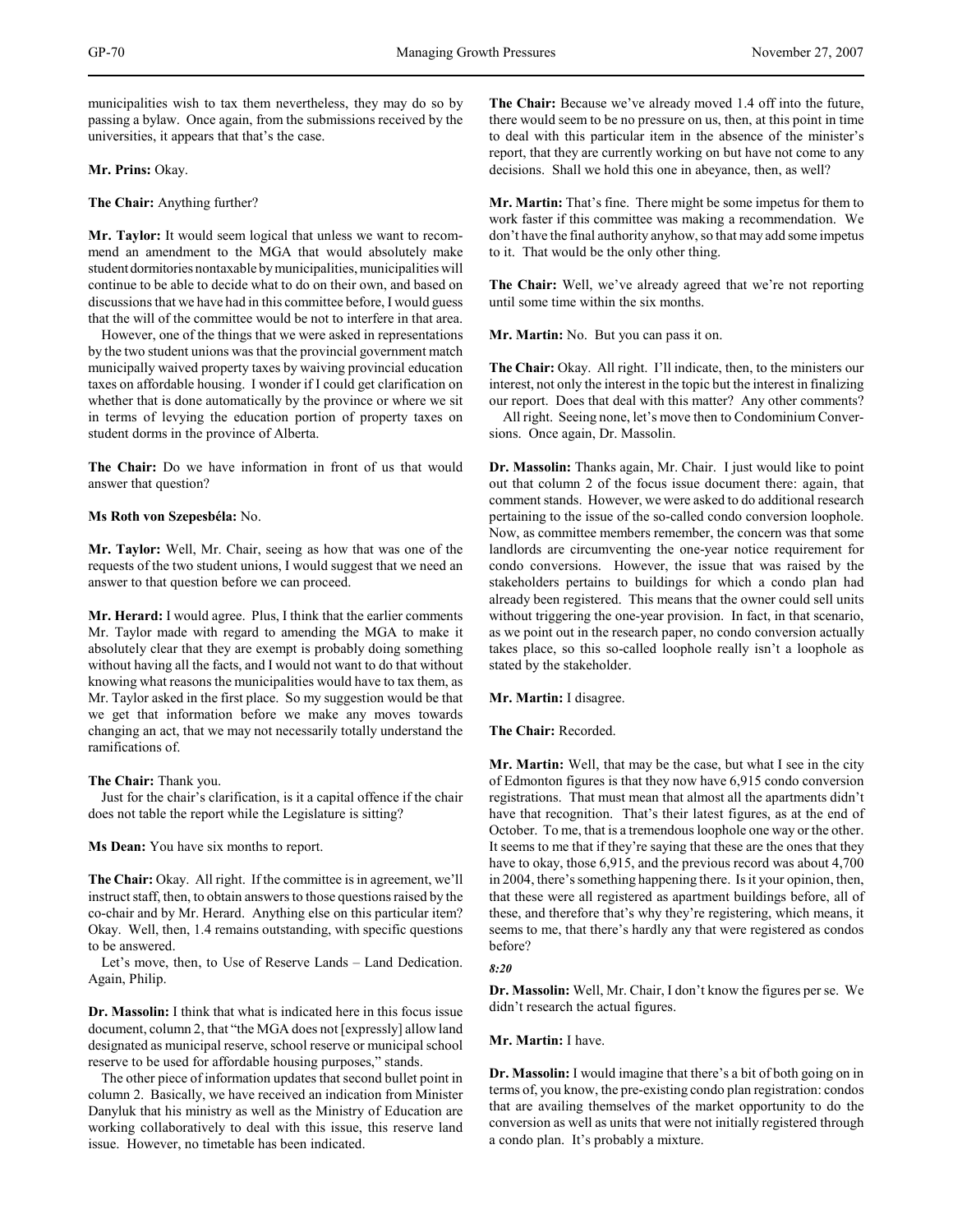municipalities wish to tax them nevertheless, they may do so by passing a bylaw. Once again, from the submissions received by the universities, it appears that that's the case.

**Mr. Prins:** Okay.

**The Chair:** Anything further?

**Mr. Taylor:** It would seem logical that unless we want to recommend an amendment to the MGA that would absolutely make student dormitories nontaxable by municipalities, municipalities will continue to be able to decide what to do on their own, and based on discussions that we have had in this committee before, I would guess that the will of the committee would be not to interfere in that area.

However, one of the things that we were asked in representations by the two student unions was that the provincial government match municipally waived property taxes by waiving provincial education taxes on affordable housing. I wonder if I could get clarification on whether that is done automatically by the province or where we sit in terms of levying the education portion of property taxes on student dorms in the province of Alberta.

**The Chair:** Do we have information in front of us that would answer that question?

### **Ms Roth von Szepesbéla:** No.

**Mr. Taylor:** Well, Mr. Chair, seeing as how that was one of the requests of the two student unions, I would suggest that we need an answer to that question before we can proceed.

**Mr. Herard:** I would agree. Plus, I think that the earlier comments Mr. Taylor made with regard to amending the MGA to make it absolutely clear that they are exempt is probably doing something without having all the facts, and I would not want to do that without knowing what reasons the municipalities would have to tax them, as Mr. Taylor asked in the first place. So my suggestion would be that we get that information before we make any moves towards changing an act, that we may not necessarily totally understand the ramifications of.

**The Chair:** Thank you.

Just for the chair's clarification, is it a capital offence if the chair does not table the report while the Legislature is sitting?

**Ms Dean:** You have six months to report.

**The Chair:** Okay. All right. If the committee is in agreement, we'll instruct staff, then, to obtain answers to those questions raised by the co-chair and by Mr. Herard. Anything else on this particular item? Okay. Well, then, 1.4 remains outstanding, with specific questions to be answered.

Let's move, then, to Use of Reserve Lands – Land Dedication. Again, Philip.

**Dr. Massolin:** I think that what is indicated here in this focus issue document, column 2, that "the MGA does not [expressly] allow land designated as municipal reserve, school reserve or municipal school reserve to be used for affordable housing purposes," stands.

The other piece of information updates that second bullet point in column 2. Basically, we have received an indication from Minister Danyluk that his ministry as well as the Ministry of Education are working collaboratively to deal with this issue, this reserve land issue. However, no timetable has been indicated.

**The Chair:** Because we've already moved 1.4 off into the future, there would seem to be no pressure on us, then, at this point in time to deal with this particular item in the absence of the minister's report, that they are currently working on but have not come to any decisions. Shall we hold this one in abeyance, then, as well?

**Mr. Martin:** That's fine. There might be some impetus for them to work faster if this committee was making a recommendation. We don't have the final authority anyhow, so that may add some impetus to it. That would be the only other thing.

**The Chair:** Well, we've already agreed that we're not reporting until some time within the six months.

**Mr. Martin:** No. But you can pass it on.

**The Chair:** Okay. All right. I'll indicate, then, to the ministers our interest, not only the interest in the topic but the interest in finalizing our report. Does that deal with this matter? Any other comments?

All right. Seeing none, let's move then to Condominium Conversions. Once again, Dr. Massolin.

**Dr. Massolin:** Thanks again, Mr. Chair. I just would like to point out that column 2 of the focus issue document there: again, that comment stands. However, we were asked to do additional research pertaining to the issue of the so-called condo conversion loophole. Now, as committee members remember, the concern was that some landlords are circumventing the one-year notice requirement for condo conversions. However, the issue that was raised by the stakeholders pertains to buildings for which a condo plan had already been registered. This means that the owner could sell units without triggering the one-year provision. In fact, in that scenario, as we point out in the research paper, no condo conversion actually takes place, so this so-called loophole really isn't a loophole as stated by the stakeholder.

## **Mr. Martin:** I disagree.

## **The Chair:** Recorded.

**Mr. Martin:** Well, that may be the case, but what I see in the city of Edmonton figures is that they now have 6,915 condo conversion registrations. That must mean that almost all the apartments didn't have that recognition. That's their latest figures, as at the end of October. To me, that is a tremendous loophole one way or the other. It seems to me that if they're saying that these are the ones that they have to okay, those 6,915, and the previous record was about 4,700 in 2004, there's something happening there. Is it your opinion, then, that these were all registered as apartment buildings before, all of these, and therefore that's why they're registering, which means, it seems to me, that there's hardly any that were registered as condos before?

## *8:20*

**Dr. Massolin:** Well, Mr. Chair, I don't know the figures per se. We didn't research the actual figures.

#### **Mr. Martin:** I have.

**Dr. Massolin:** I would imagine that there's a bit of both going on in terms of, you know, the pre-existing condo plan registration: condos that are availing themselves of the market opportunity to do the conversion as well as units that were not initially registered through a condo plan. It's probably a mixture.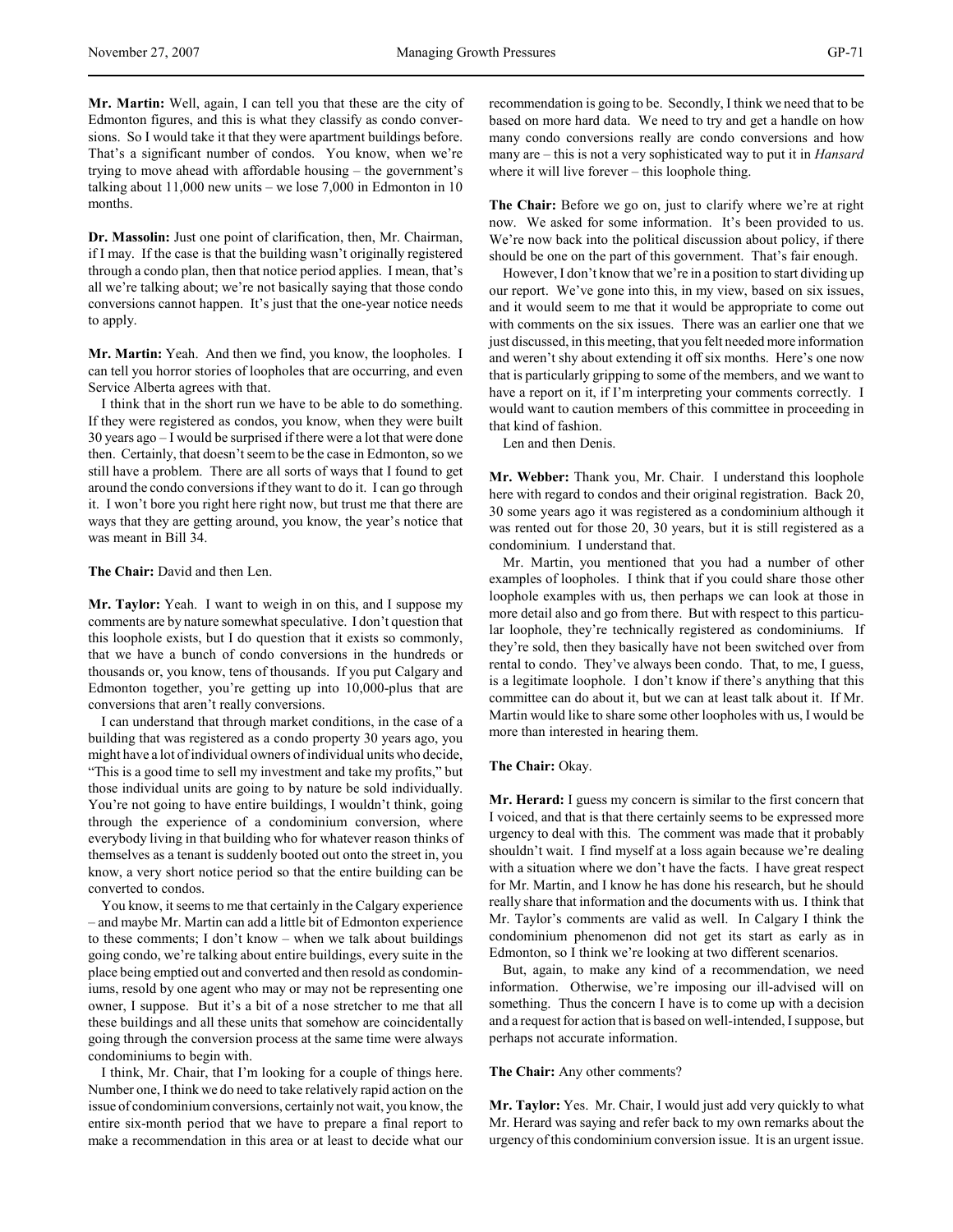**Mr. Martin:** Well, again, I can tell you that these are the city of Edmonton figures, and this is what they classify as condo conversions. So I would take it that they were apartment buildings before. That's a significant number of condos. You know, when we're trying to move ahead with affordable housing – the government's talking about 11,000 new units – we lose 7,000 in Edmonton in 10 months.

**Dr. Massolin:** Just one point of clarification, then, Mr. Chairman, if I may. If the case is that the building wasn't originally registered through a condo plan, then that notice period applies. I mean, that's all we're talking about; we're not basically saying that those condo conversions cannot happen. It's just that the one-year notice needs to apply.

**Mr. Martin:** Yeah. And then we find, you know, the loopholes. I can tell you horror stories of loopholes that are occurring, and even Service Alberta agrees with that.

I think that in the short run we have to be able to do something. If they were registered as condos, you know, when they were built 30 years ago – I would be surprised if there were a lot that were done then. Certainly, that doesn't seem to be the case in Edmonton, so we still have a problem. There are all sorts of ways that I found to get around the condo conversions if they want to do it. I can go through it. I won't bore you right here right now, but trust me that there are ways that they are getting around, you know, the year's notice that was meant in Bill 34.

### **The Chair:** David and then Len.

**Mr. Taylor:** Yeah. I want to weigh in on this, and I suppose my comments are by nature somewhat speculative. I don't question that this loophole exists, but I do question that it exists so commonly, that we have a bunch of condo conversions in the hundreds or thousands or, you know, tens of thousands. If you put Calgary and Edmonton together, you're getting up into 10,000-plus that are conversions that aren't really conversions.

I can understand that through market conditions, in the case of a building that was registered as a condo property 30 years ago, you might have a lot of individual owners of individual units who decide, "This is a good time to sell my investment and take my profits," but those individual units are going to by nature be sold individually. You're not going to have entire buildings, I wouldn't think, going through the experience of a condominium conversion, where everybody living in that building who for whatever reason thinks of themselves as a tenant is suddenly booted out onto the street in, you know, a very short notice period so that the entire building can be converted to condos.

You know, it seems to me that certainly in the Calgary experience – and maybe Mr. Martin can add a little bit of Edmonton experience to these comments; I don't know – when we talk about buildings going condo, we're talking about entire buildings, every suite in the place being emptied out and converted and then resold as condominiums, resold by one agent who may or may not be representing one owner, I suppose. But it's a bit of a nose stretcher to me that all these buildings and all these units that somehow are coincidentally going through the conversion process at the same time were always condominiums to begin with.

I think, Mr. Chair, that I'm looking for a couple of things here. Number one, I think we do need to take relatively rapid action on the issue of condominium conversions, certainly not wait, you know, the entire six-month period that we have to prepare a final report to make a recommendation in this area or at least to decide what our

recommendation is going to be. Secondly, I think we need that to be based on more hard data. We need to try and get a handle on how many condo conversions really are condo conversions and how many are – this is not a very sophisticated way to put it in *Hansard* where it will live forever – this loophole thing.

**The Chair:** Before we go on, just to clarify where we're at right now. We asked for some information. It's been provided to us. We're now back into the political discussion about policy, if there should be one on the part of this government. That's fair enough.

However, I don't know that we're in a position to start dividing up our report. We've gone into this, in my view, based on six issues, and it would seem to me that it would be appropriate to come out with comments on the six issues. There was an earlier one that we just discussed, in this meeting, that you felt needed more information and weren't shy about extending it off six months. Here's one now that is particularly gripping to some of the members, and we want to have a report on it, if I'm interpreting your comments correctly. I would want to caution members of this committee in proceeding in that kind of fashion.

Len and then Denis.

**Mr. Webber:** Thank you, Mr. Chair. I understand this loophole here with regard to condos and their original registration. Back 20, 30 some years ago it was registered as a condominium although it was rented out for those 20, 30 years, but it is still registered as a condominium. I understand that.

Mr. Martin, you mentioned that you had a number of other examples of loopholes. I think that if you could share those other loophole examples with us, then perhaps we can look at those in more detail also and go from there. But with respect to this particular loophole, they're technically registered as condominiums. If they're sold, then they basically have not been switched over from rental to condo. They've always been condo. That, to me, I guess, is a legitimate loophole. I don't know if there's anything that this committee can do about it, but we can at least talk about it. If Mr. Martin would like to share some other loopholes with us, I would be more than interested in hearing them.

## **The Chair:** Okay.

**Mr. Herard:** I guess my concern is similar to the first concern that I voiced, and that is that there certainly seems to be expressed more urgency to deal with this. The comment was made that it probably shouldn't wait. I find myself at a loss again because we're dealing with a situation where we don't have the facts. I have great respect for Mr. Martin, and I know he has done his research, but he should really share that information and the documents with us. I think that Mr. Taylor's comments are valid as well. In Calgary I think the condominium phenomenon did not get its start as early as in Edmonton, so I think we're looking at two different scenarios.

But, again, to make any kind of a recommendation, we need information. Otherwise, we're imposing our ill-advised will on something. Thus the concern I have is to come up with a decision and a request for action that is based on well-intended, I suppose, but perhaps not accurate information.

#### **The Chair:** Any other comments?

**Mr. Taylor:** Yes. Mr. Chair, I would just add very quickly to what Mr. Herard was saying and refer back to my own remarks about the urgency of this condominium conversion issue. It is an urgent issue.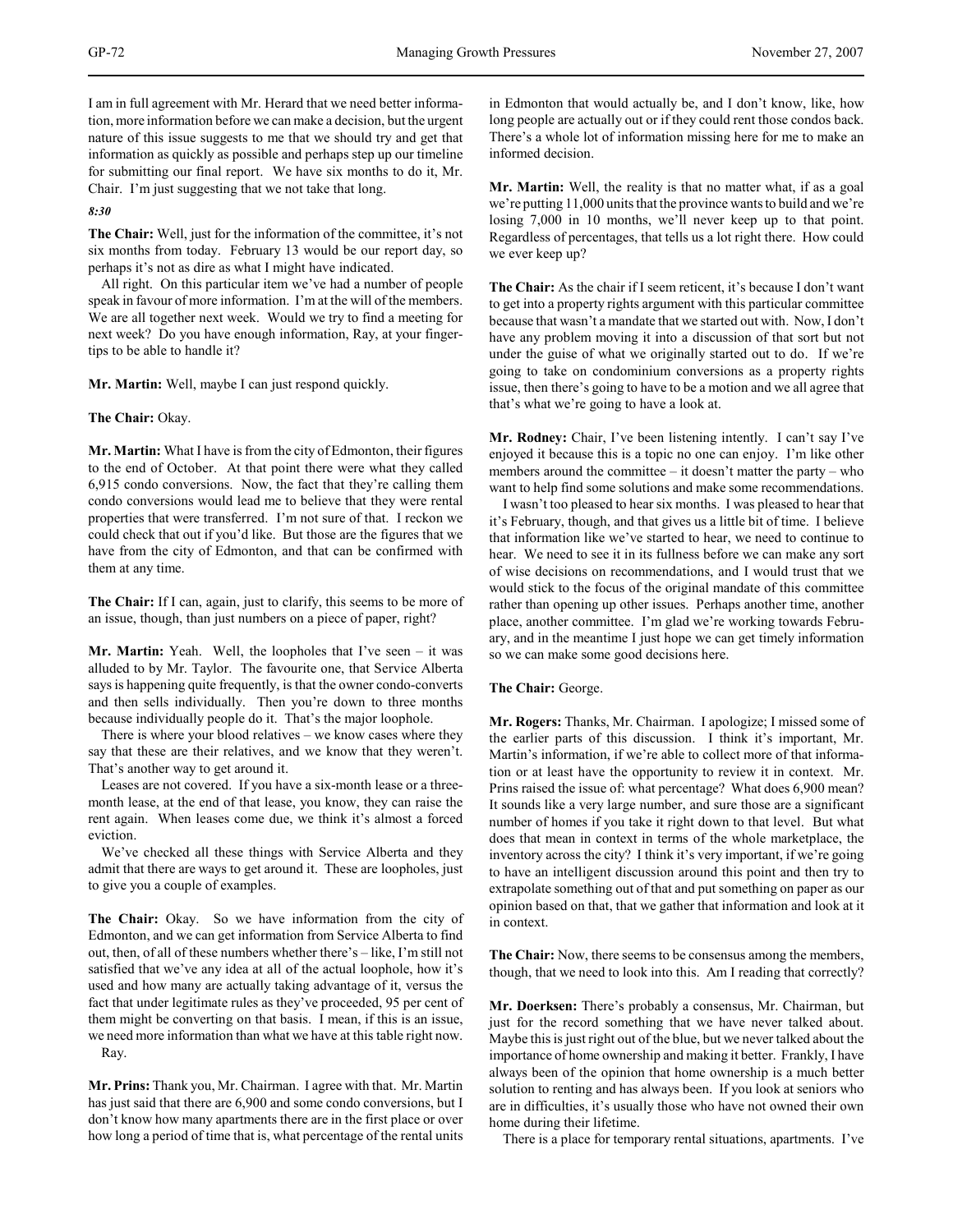I am in full agreement with Mr. Herard that we need better information, more information before we can make a decision, but the urgent nature of this issue suggests to me that we should try and get that information as quickly as possible and perhaps step up our timeline for submitting our final report. We have six months to do it, Mr. Chair. I'm just suggesting that we not take that long.

*8:30*

**The Chair:** Well, just for the information of the committee, it's not six months from today. February 13 would be our report day, so perhaps it's not as dire as what I might have indicated.

All right. On this particular item we've had a number of people speak in favour of more information. I'm at the will of the members. We are all together next week. Would we try to find a meeting for next week? Do you have enough information, Ray, at your fingertips to be able to handle it?

**Mr. Martin:** Well, maybe I can just respond quickly.

# **The Chair:** Okay.

**Mr. Martin:** What I have is from the city of Edmonton, their figures to the end of October. At that point there were what they called 6,915 condo conversions. Now, the fact that they're calling them condo conversions would lead me to believe that they were rental properties that were transferred. I'm not sure of that. I reckon we could check that out if you'd like. But those are the figures that we have from the city of Edmonton, and that can be confirmed with them at any time.

**The Chair:** If I can, again, just to clarify, this seems to be more of an issue, though, than just numbers on a piece of paper, right?

**Mr. Martin:** Yeah. Well, the loopholes that I've seen – it was alluded to by Mr. Taylor. The favourite one, that Service Alberta says is happening quite frequently, is that the owner condo-converts and then sells individually. Then you're down to three months because individually people do it. That's the major loophole.

There is where your blood relatives – we know cases where they say that these are their relatives, and we know that they weren't. That's another way to get around it.

Leases are not covered. If you have a six-month lease or a threemonth lease, at the end of that lease, you know, they can raise the rent again. When leases come due, we think it's almost a forced eviction.

We've checked all these things with Service Alberta and they admit that there are ways to get around it. These are loopholes, just to give you a couple of examples.

**The Chair:** Okay. So we have information from the city of Edmonton, and we can get information from Service Alberta to find out, then, of all of these numbers whether there's – like, I'm still not satisfied that we've any idea at all of the actual loophole, how it's used and how many are actually taking advantage of it, versus the fact that under legitimate rules as they've proceeded, 95 per cent of them might be converting on that basis. I mean, if this is an issue, we need more information than what we have at this table right now. Ray.

**Mr. Prins:** Thank you, Mr. Chairman. I agree with that. Mr. Martin has just said that there are 6,900 and some condo conversions, but I don't know how many apartments there are in the first place or over how long a period of time that is, what percentage of the rental units

in Edmonton that would actually be, and I don't know, like, how long people are actually out or if they could rent those condos back. There's a whole lot of information missing here for me to make an informed decision.

**Mr. Martin:** Well, the reality is that no matter what, if as a goal we're putting 11,000 units that the province wants to build and we're losing 7,000 in 10 months, we'll never keep up to that point. Regardless of percentages, that tells us a lot right there. How could we ever keep up?

**The Chair:** As the chair if I seem reticent, it's because I don't want to get into a property rights argument with this particular committee because that wasn't a mandate that we started out with. Now, I don't have any problem moving it into a discussion of that sort but not under the guise of what we originally started out to do. If we're going to take on condominium conversions as a property rights issue, then there's going to have to be a motion and we all agree that that's what we're going to have a look at.

**Mr. Rodney:** Chair, I've been listening intently. I can't say I've enjoyed it because this is a topic no one can enjoy. I'm like other members around the committee – it doesn't matter the party – who want to help find some solutions and make some recommendations.

I wasn't too pleased to hear six months. I was pleased to hear that it's February, though, and that gives us a little bit of time. I believe that information like we've started to hear, we need to continue to hear. We need to see it in its fullness before we can make any sort of wise decisions on recommendations, and I would trust that we would stick to the focus of the original mandate of this committee rather than opening up other issues. Perhaps another time, another place, another committee. I'm glad we're working towards February, and in the meantime I just hope we can get timely information so we can make some good decisions here.

## **The Chair:** George.

**Mr. Rogers:** Thanks, Mr. Chairman. I apologize; I missed some of the earlier parts of this discussion. I think it's important, Mr. Martin's information, if we're able to collect more of that information or at least have the opportunity to review it in context. Mr. Prins raised the issue of: what percentage? What does 6,900 mean? It sounds like a very large number, and sure those are a significant number of homes if you take it right down to that level. But what does that mean in context in terms of the whole marketplace, the inventory across the city? I think it's very important, if we're going to have an intelligent discussion around this point and then try to extrapolate something out of that and put something on paper as our opinion based on that, that we gather that information and look at it in context.

**The Chair:** Now, there seems to be consensus among the members, though, that we need to look into this. Am I reading that correctly?

**Mr. Doerksen:** There's probably a consensus, Mr. Chairman, but just for the record something that we have never talked about. Maybe this is just right out of the blue, but we never talked about the importance of home ownership and making it better. Frankly, I have always been of the opinion that home ownership is a much better solution to renting and has always been. If you look at seniors who are in difficulties, it's usually those who have not owned their own home during their lifetime.

There is a place for temporary rental situations, apartments. I've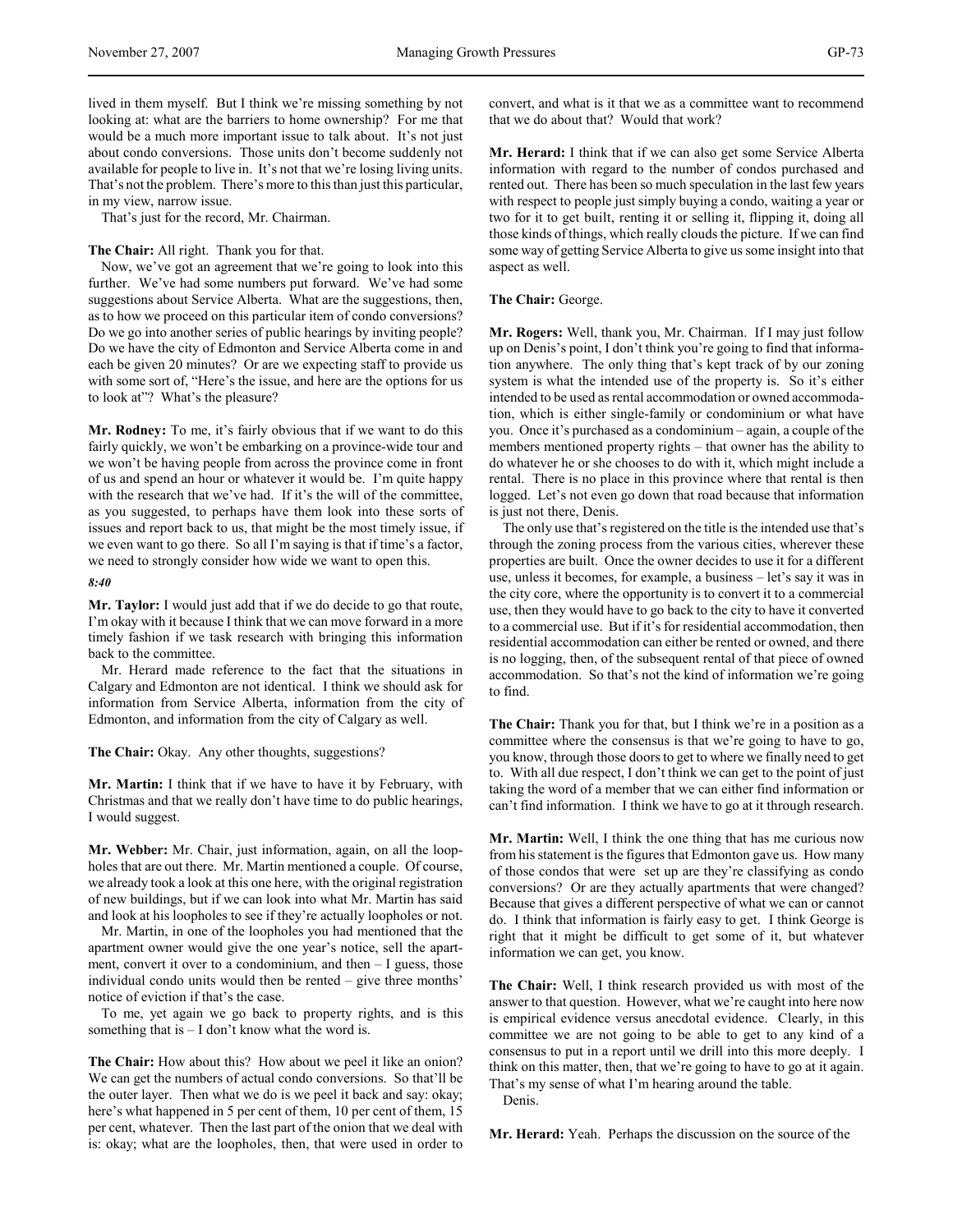lived in them myself. But I think we're missing something by not looking at: what are the barriers to home ownership? For me that would be a much more important issue to talk about. It's not just about condo conversions. Those units don't become suddenly not available for people to live in. It's not that we're losing living units. That's not the problem. There's more to this than just this particular, in my view, narrow issue.

That's just for the record, Mr. Chairman.

# **The Chair:** All right. Thank you for that.

Now, we've got an agreement that we're going to look into this further. We've had some numbers put forward. We've had some suggestions about Service Alberta. What are the suggestions, then, as to how we proceed on this particular item of condo conversions? Do we go into another series of public hearings by inviting people? Do we have the city of Edmonton and Service Alberta come in and each be given 20 minutes? Or are we expecting staff to provide us with some sort of, "Here's the issue, and here are the options for us to look at"? What's the pleasure?

**Mr. Rodney:** To me, it's fairly obvious that if we want to do this fairly quickly, we won't be embarking on a province-wide tour and we won't be having people from across the province come in front of us and spend an hour or whatever it would be. I'm quite happy with the research that we've had. If it's the will of the committee, as you suggested, to perhaps have them look into these sorts of issues and report back to us, that might be the most timely issue, if we even want to go there. So all I'm saying is that if time's a factor, we need to strongly consider how wide we want to open this.

#### *8:40*

**Mr. Taylor:** I would just add that if we do decide to go that route, I'm okay with it because I think that we can move forward in a more timely fashion if we task research with bringing this information back to the committee.

Mr. Herard made reference to the fact that the situations in Calgary and Edmonton are not identical. I think we should ask for information from Service Alberta, information from the city of Edmonton, and information from the city of Calgary as well.

**The Chair:** Okay. Any other thoughts, suggestions?

**Mr. Martin:** I think that if we have to have it by February, with Christmas and that we really don't have time to do public hearings, I would suggest.

**Mr. Webber:** Mr. Chair, just information, again, on all the loopholes that are out there. Mr. Martin mentioned a couple. Of course, we already took a look at this one here, with the original registration of new buildings, but if we can look into what Mr. Martin has said and look at his loopholes to see if they're actually loopholes or not.

Mr. Martin, in one of the loopholes you had mentioned that the apartment owner would give the one year's notice, sell the apartment, convert it over to a condominium, and then – I guess, those individual condo units would then be rented – give three months' notice of eviction if that's the case.

To me, yet again we go back to property rights, and is this something that is  $- I$  don't know what the word is.

**The Chair:** How about this? How about we peel it like an onion? We can get the numbers of actual condo conversions. So that'll be the outer layer. Then what we do is we peel it back and say: okay; here's what happened in 5 per cent of them, 10 per cent of them, 15 per cent, whatever. Then the last part of the onion that we deal with is: okay; what are the loopholes, then, that were used in order to

convert, and what is it that we as a committee want to recommend that we do about that? Would that work?

**Mr. Herard:** I think that if we can also get some Service Alberta information with regard to the number of condos purchased and rented out. There has been so much speculation in the last few years with respect to people just simply buying a condo, waiting a year or two for it to get built, renting it or selling it, flipping it, doing all those kinds of things, which really clouds the picture. If we can find some way of getting Service Alberta to give us some insight into that aspect as well.

### **The Chair:** George.

**Mr. Rogers:** Well, thank you, Mr. Chairman. If I may just follow up on Denis's point, I don't think you're going to find that information anywhere. The only thing that's kept track of by our zoning system is what the intended use of the property is. So it's either intended to be used as rental accommodation or owned accommodation, which is either single-family or condominium or what have you. Once it's purchased as a condominium – again, a couple of the members mentioned property rights – that owner has the ability to do whatever he or she chooses to do with it, which might include a rental. There is no place in this province where that rental is then logged. Let's not even go down that road because that information is just not there, Denis.

The only use that's registered on the title is the intended use that's through the zoning process from the various cities, wherever these properties are built. Once the owner decides to use it for a different use, unless it becomes, for example, a business – let's say it was in the city core, where the opportunity is to convert it to a commercial use, then they would have to go back to the city to have it converted to a commercial use. But if it's for residential accommodation, then residential accommodation can either be rented or owned, and there is no logging, then, of the subsequent rental of that piece of owned accommodation. So that's not the kind of information we're going to find.

**The Chair:** Thank you for that, but I think we're in a position as a committee where the consensus is that we're going to have to go, you know, through those doors to get to where we finally need to get to. With all due respect, I don't think we can get to the point of just taking the word of a member that we can either find information or can't find information. I think we have to go at it through research.

**Mr. Martin:** Well, I think the one thing that has me curious now from his statement is the figures that Edmonton gave us. How many of those condos that were set up are they're classifying as condo conversions? Or are they actually apartments that were changed? Because that gives a different perspective of what we can or cannot do. I think that information is fairly easy to get. I think George is right that it might be difficult to get some of it, but whatever information we can get, you know.

**The Chair:** Well, I think research provided us with most of the answer to that question. However, what we're caught into here now is empirical evidence versus anecdotal evidence. Clearly, in this committee we are not going to be able to get to any kind of a consensus to put in a report until we drill into this more deeply. I think on this matter, then, that we're going to have to go at it again. That's my sense of what I'm hearing around the table.

Denis.

**Mr. Herard:** Yeah. Perhaps the discussion on the source of the